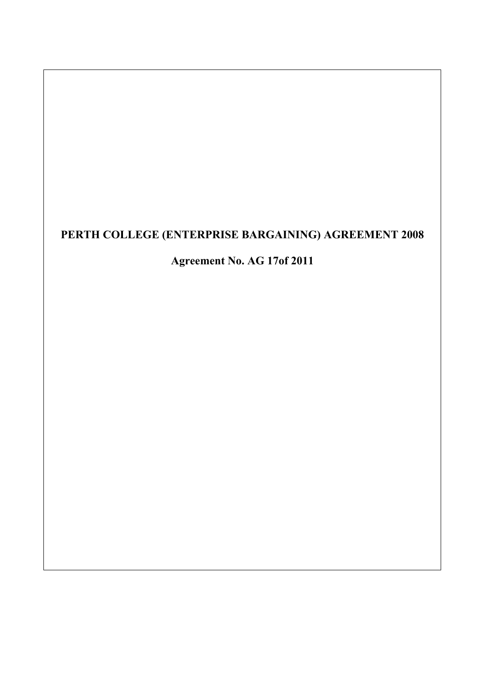# **PERTH COLLEGE (ENTERPRISE BARGAINING) AGREEMENT 2008**

# **Agreement No. AG 17of 2011**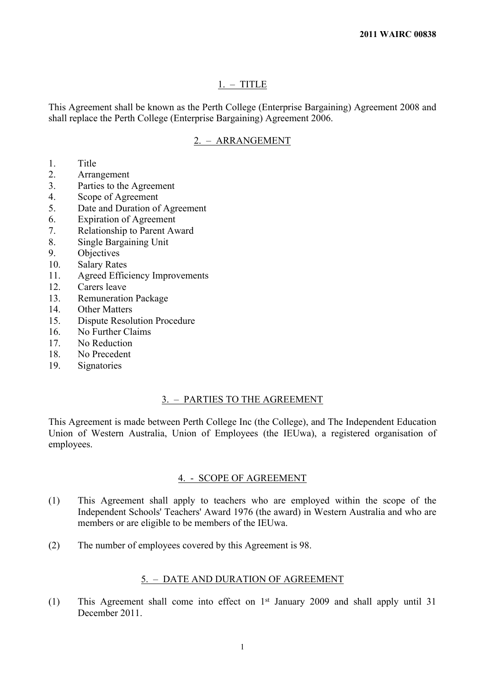## 1. – TITLE

This Agreement shall be known as the Perth College (Enterprise Bargaining) Agreement 2008 and shall replace the Perth College (Enterprise Bargaining) Agreement 2006.

# 2. – ARRANGEMENT

- 1. Title
- 2. Arrangement
- 3. Parties to the Agreement
- 4. Scope of Agreement
- 5. Date and Duration of Agreement
- 6. Expiration of Agreement
- 7. Relationship to Parent Award
- 8. Single Bargaining Unit
- 9. Objectives
- 10. Salary Rates
- 11. Agreed Efficiency Improvements
- 12. Carers leave
- 13. Remuneration Package
- 14. Other Matters
- 15. Dispute Resolution Procedure
- 16. No Further Claims
- 17. No Reduction
- 18. No Precedent
- 19. Signatories

#### 3. – PARTIES TO THE AGREEMENT

This Agreement is made between Perth College Inc (the College), and The Independent Education Union of Western Australia, Union of Employees (the IEUwa), a registered organisation of employees.

# 4. - SCOPE OF AGREEMENT

- (1) This Agreement shall apply to teachers who are employed within the scope of the Independent Schools' Teachers' Award 1976 (the award) in Western Australia and who are members or are eligible to be members of the IEUwa.
- (2) The number of employees covered by this Agreement is 98.

# 5. – DATE AND DURATION OF AGREEMENT

(1) This Agreement shall come into effect on 1st January 2009 and shall apply until 31 December 2011.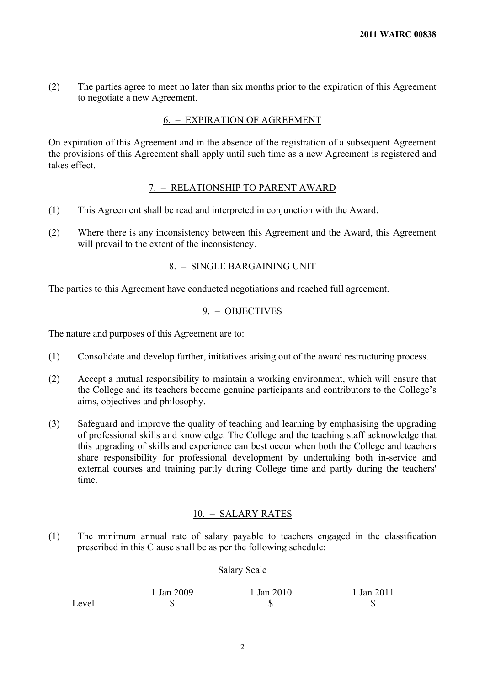(2) The parties agree to meet no later than six months prior to the expiration of this Agreement to negotiate a new Agreement.

# 6. – EXPIRATION OF AGREEMENT

On expiration of this Agreement and in the absence of the registration of a subsequent Agreement the provisions of this Agreement shall apply until such time as a new Agreement is registered and takes effect.

# 7. – RELATIONSHIP TO PARENT AWARD

- (1) This Agreement shall be read and interpreted in conjunction with the Award.
- (2) Where there is any inconsistency between this Agreement and the Award, this Agreement will prevail to the extent of the inconsistency.

# 8. – SINGLE BARGAINING UNIT

The parties to this Agreement have conducted negotiations and reached full agreement.

#### 9. – OBJECTIVES

The nature and purposes of this Agreement are to:

- (1) Consolidate and develop further, initiatives arising out of the award restructuring process.
- (2) Accept a mutual responsibility to maintain a working environment, which will ensure that the College and its teachers become genuine participants and contributors to the College's aims, objectives and philosophy.
- (3) Safeguard and improve the quality of teaching and learning by emphasising the upgrading of professional skills and knowledge. The College and the teaching staff acknowledge that this upgrading of skills and experience can best occur when both the College and teachers share responsibility for professional development by undertaking both in-service and external courses and training partly during College time and partly during the teachers' time.

#### 10. – SALARY RATES

(1) The minimum annual rate of salary payable to teachers engaged in the classification prescribed in this Clause shall be as per the following schedule:

# Salary Scale

|       | $\frac{1}{4}$ Jan 2009 | Jan 2010 | Jan 2011 |
|-------|------------------------|----------|----------|
| Level | æ<br>ιIJ               |          |          |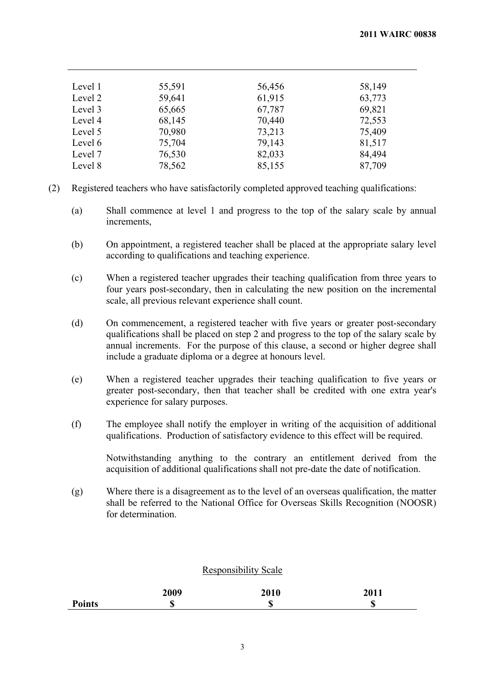| 55,591 | 56,456 | 58,149 |
|--------|--------|--------|
| 59,641 | 61,915 | 63,773 |
| 65,665 | 67,787 | 69,821 |
| 68,145 | 70,440 | 72,553 |
| 70,980 | 73,213 | 75,409 |
| 75,704 | 79,143 | 81,517 |
| 76,530 | 82,033 | 84,494 |
| 78,562 | 85,155 | 87,709 |
|        |        |        |

- (2) Registered teachers who have satisfactorily completed approved teaching qualifications:
	- (a) Shall commence at level 1 and progress to the top of the salary scale by annual increments,
	- (b) On appointment, a registered teacher shall be placed at the appropriate salary level according to qualifications and teaching experience.
	- (c) When a registered teacher upgrades their teaching qualification from three years to four years post-secondary, then in calculating the new position on the incremental scale, all previous relevant experience shall count.
	- (d) On commencement, a registered teacher with five years or greater post-secondary qualifications shall be placed on step 2 and progress to the top of the salary scale by annual increments. For the purpose of this clause, a second or higher degree shall include a graduate diploma or a degree at honours level.
	- (e) When a registered teacher upgrades their teaching qualification to five years or greater post-secondary, then that teacher shall be credited with one extra year's experience for salary purposes.
	- (f) The employee shall notify the employer in writing of the acquisition of additional qualifications. Production of satisfactory evidence to this effect will be required.

Notwithstanding anything to the contrary an entitlement derived from the acquisition of additional qualifications shall not pre-date the date of notification.

(g) Where there is a disagreement as to the level of an overseas qualification, the matter shall be referred to the National Office for Overseas Skills Recognition (NOOSR) for determination.

# Responsibility Scale

|               | 2009 | 2010    | 2011             |
|---------------|------|---------|------------------|
| <b>Points</b> | ۱D   | œ<br>٨D | $\sqrt{2}$<br>۱D |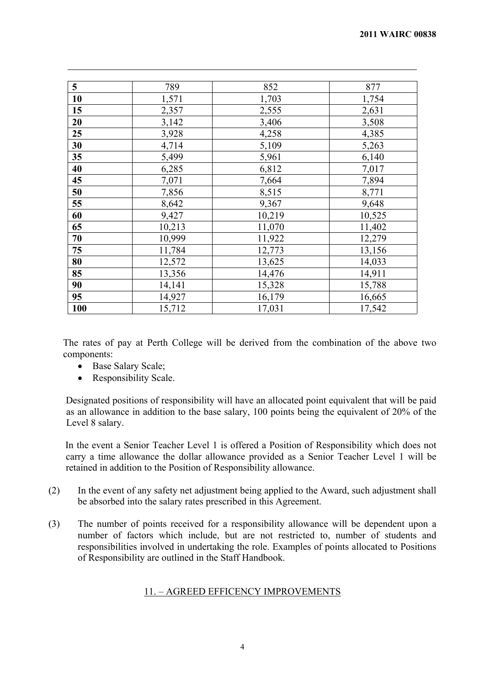| $5\overline{)}$ | 789    | 852    | 877    |
|-----------------|--------|--------|--------|
| 10              | 1,571  | 1,703  | 1,754  |
| 15              | 2,357  | 2,555  | 2,631  |
| 20              | 3,142  | 3,406  | 3,508  |
| 25              | 3,928  | 4,258  | 4,385  |
| 30              | 4,714  | 5,109  | 5,263  |
| 35              | 5,499  | 5,961  | 6,140  |
| 40              | 6,285  | 6,812  | 7,017  |
| 45              | 7,071  | 7,664  | 7,894  |
| 50              | 7,856  | 8,515  | 8,771  |
| 55              | 8,642  | 9,367  | 9,648  |
| 60              | 9,427  | 10,219 | 10,525 |
| 65              | 10,213 | 11,070 | 11,402 |
| 70              | 10,999 | 11,922 | 12,279 |
| 75              | 11,784 | 12,773 | 13,156 |
| 80              | 12,572 | 13,625 | 14,033 |
| 85              | 13,356 | 14,476 | 14,911 |
| 90              | 14,141 | 15,328 | 15,788 |
| 95              | 14,927 | 16,179 | 16,665 |
| <b>100</b>      | 15,712 | 17,031 | 17,542 |

The rates of pay at Perth College will be derived from the combination of the above two components:

- Base Salary Scale;
- Responsibility Scale.

Designated positions of responsibility will have an allocated point equivalent that will be paid as an allowance in addition to the base salary, 100 points being the equivalent of 20% of the Level 8 salary.

In the event a Senior Teacher Level 1 is offered a Position of Responsibility which does not carry a time allowance the dollar allowance provided as a Senior Teacher Level 1 will be retained in addition to the Position of Responsibility allowance.

- (2) In the event of any safety net adjustment being applied to the Award, such adjustment shall be absorbed into the salary rates prescribed in this Agreement.
- (3) The number of points received for a responsibility allowance will be dependent upon a number of factors which include, but are not restricted to, number of students and responsibilities involved in undertaking the role. Examples of points allocated to Positions of Responsibility are outlined in the Staff Handbook.

# 11. – AGREED EFFICENCY IMPROVEMENTS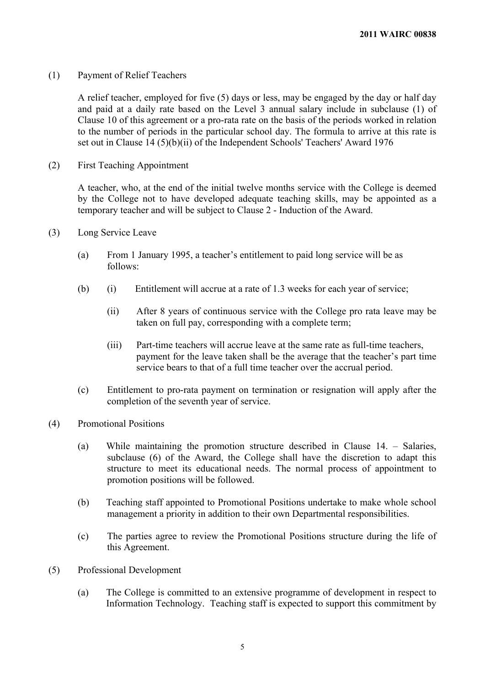(1) Payment of Relief Teachers

A relief teacher, employed for five (5) days or less, may be engaged by the day or half day and paid at a daily rate based on the Level 3 annual salary include in subclause (1) of Clause 10 of this agreement or a pro-rata rate on the basis of the periods worked in relation to the number of periods in the particular school day. The formula to arrive at this rate is set out in Clause 14 (5)(b)(ii) of the Independent Schools' Teachers' Award 1976

(2) First Teaching Appointment

A teacher, who, at the end of the initial twelve months service with the College is deemed by the College not to have developed adequate teaching skills, may be appointed as a temporary teacher and will be subject to Clause 2 - Induction of the Award.

- (3) Long Service Leave
	- (a) From 1 January 1995, a teacher's entitlement to paid long service will be as follows:
	- (b) (i) Entitlement will accrue at a rate of 1.3 weeks for each year of service;
		- (ii) After 8 years of continuous service with the College pro rata leave may be taken on full pay, corresponding with a complete term;
		- (iii) Part-time teachers will accrue leave at the same rate as full-time teachers, payment for the leave taken shall be the average that the teacher's part time service bears to that of a full time teacher over the accrual period.
	- (c) Entitlement to pro-rata payment on termination or resignation will apply after the completion of the seventh year of service.
- (4) Promotional Positions
	- (a) While maintaining the promotion structure described in Clause 14. Salaries, subclause (6) of the Award, the College shall have the discretion to adapt this structure to meet its educational needs. The normal process of appointment to promotion positions will be followed.
	- (b) Teaching staff appointed to Promotional Positions undertake to make whole school management a priority in addition to their own Departmental responsibilities.
	- (c) The parties agree to review the Promotional Positions structure during the life of this Agreement.
- (5) Professional Development
	- (a) The College is committed to an extensive programme of development in respect to Information Technology. Teaching staff is expected to support this commitment by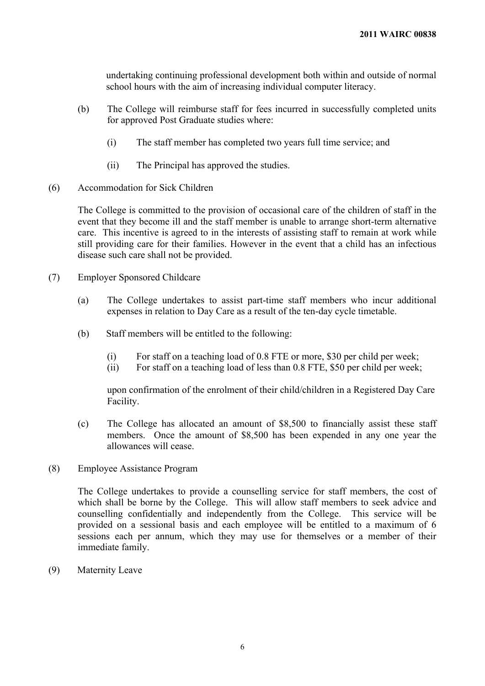undertaking continuing professional development both within and outside of normal school hours with the aim of increasing individual computer literacy.

- (b) The College will reimburse staff for fees incurred in successfully completed units for approved Post Graduate studies where:
	- (i) The staff member has completed two years full time service; and
	- (ii) The Principal has approved the studies.
- (6) Accommodation for Sick Children

The College is committed to the provision of occasional care of the children of staff in the event that they become ill and the staff member is unable to arrange short-term alternative care. This incentive is agreed to in the interests of assisting staff to remain at work while still providing care for their families. However in the event that a child has an infectious disease such care shall not be provided.

- (7) Employer Sponsored Childcare
	- (a) The College undertakes to assist part-time staff members who incur additional expenses in relation to Day Care as a result of the ten-day cycle timetable.
	- (b) Staff members will be entitled to the following:
		- (i) For staff on a teaching load of 0.8 FTE or more, \$30 per child per week;
		- (ii) For staff on a teaching load of less than 0.8 FTE, \$50 per child per week;

upon confirmation of the enrolment of their child/children in a Registered Day Care Facility.

- (c) The College has allocated an amount of \$8,500 to financially assist these staff members. Once the amount of \$8,500 has been expended in any one year the allowances will cease.
- (8) Employee Assistance Program

The College undertakes to provide a counselling service for staff members, the cost of which shall be borne by the College. This will allow staff members to seek advice and counselling confidentially and independently from the College. This service will be provided on a sessional basis and each employee will be entitled to a maximum of 6 sessions each per annum, which they may use for themselves or a member of their immediate family.

(9) Maternity Leave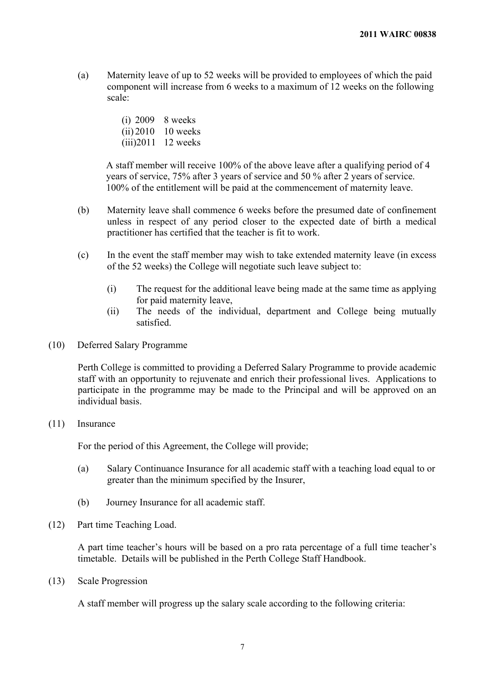(a) Maternity leave of up to 52 weeks will be provided to employees of which the paid component will increase from 6 weeks to a maximum of 12 weeks on the following scale:

> (i) 2009 8 weeks (ii) 2010 10 weeks (iii)2011 12 weeks

A staff member will receive 100% of the above leave after a qualifying period of 4 years of service, 75% after 3 years of service and 50 % after 2 years of service. 100% of the entitlement will be paid at the commencement of maternity leave.

- (b) Maternity leave shall commence 6 weeks before the presumed date of confinement unless in respect of any period closer to the expected date of birth a medical practitioner has certified that the teacher is fit to work.
- (c) In the event the staff member may wish to take extended maternity leave (in excess of the 52 weeks) the College will negotiate such leave subject to:
	- (i) The request for the additional leave being made at the same time as applying for paid maternity leave,
	- (ii) The needs of the individual, department and College being mutually satisfied.
- (10) Deferred Salary Programme

Perth College is committed to providing a Deferred Salary Programme to provide academic staff with an opportunity to rejuvenate and enrich their professional lives. Applications to participate in the programme may be made to the Principal and will be approved on an individual basis.

(11) Insurance

For the period of this Agreement, the College will provide;

- (a) Salary Continuance Insurance for all academic staff with a teaching load equal to or greater than the minimum specified by the Insurer,
- (b) Journey Insurance for all academic staff.
- (12) Part time Teaching Load.

A part time teacher's hours will be based on a pro rata percentage of a full time teacher's timetable. Details will be published in the Perth College Staff Handbook.

(13) Scale Progression

A staff member will progress up the salary scale according to the following criteria: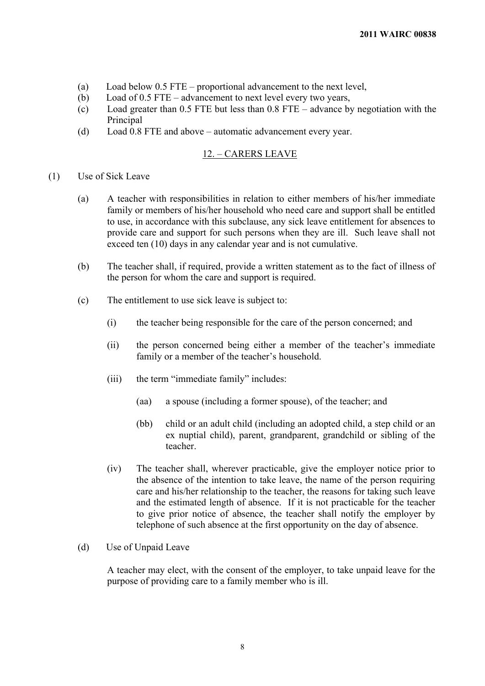- (a) Load below 0.5 FTE proportional advancement to the next level,
- (b) Load of 0.5 FTE advancement to next level every two years,
- (c) Load greater than 0.5 FTE but less than 0.8 FTE advance by negotiation with the Principal
- (d) Load 0.8 FTE and above automatic advancement every year.

# 12. – CARERS LEAVE

### (1) Use of Sick Leave

- (a) A teacher with responsibilities in relation to either members of his/her immediate family or members of his/her household who need care and support shall be entitled to use, in accordance with this subclause, any sick leave entitlement for absences to provide care and support for such persons when they are ill. Such leave shall not exceed ten (10) days in any calendar year and is not cumulative.
- (b) The teacher shall, if required, provide a written statement as to the fact of illness of the person for whom the care and support is required.
- (c) The entitlement to use sick leave is subject to:
	- (i) the teacher being responsible for the care of the person concerned; and
	- (ii) the person concerned being either a member of the teacher's immediate family or a member of the teacher's household.
	- (iii) the term "immediate family" includes:
		- (aa) a spouse (including a former spouse), of the teacher; and
		- (bb) child or an adult child (including an adopted child, a step child or an ex nuptial child), parent, grandparent, grandchild or sibling of the teacher.
	- (iv) The teacher shall, wherever practicable, give the employer notice prior to the absence of the intention to take leave, the name of the person requiring care and his/her relationship to the teacher, the reasons for taking such leave and the estimated length of absence. If it is not practicable for the teacher to give prior notice of absence, the teacher shall notify the employer by telephone of such absence at the first opportunity on the day of absence.

#### (d) Use of Unpaid Leave

A teacher may elect, with the consent of the employer, to take unpaid leave for the purpose of providing care to a family member who is ill.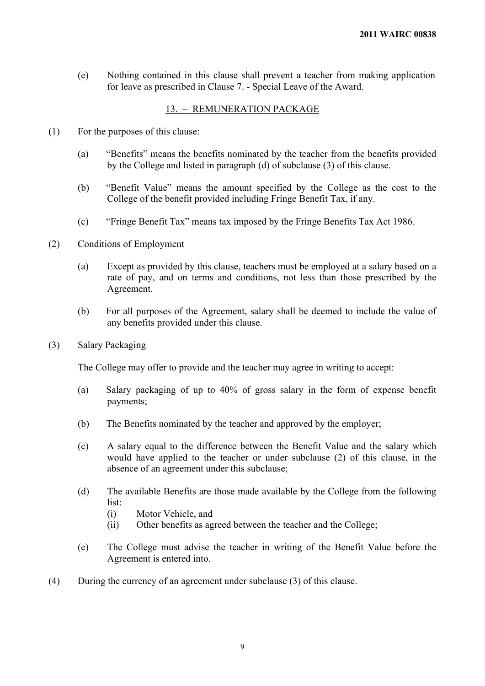(e) Nothing contained in this clause shall prevent a teacher from making application for leave as prescribed in Clause 7. - Special Leave of the Award.

# 13. – REMUNERATION PACKAGE

- (1) For the purposes of this clause:
	- (a) "Benefits" means the benefits nominated by the teacher from the benefits provided by the College and listed in paragraph (d) of subclause (3) of this clause.
	- (b) "Benefit Value" means the amount specified by the College as the cost to the College of the benefit provided including Fringe Benefit Tax, if any.
	- (c) "Fringe Benefit Tax" means tax imposed by the Fringe Benefits Tax Act 1986.
- (2) Conditions of Employment
	- (a) Except as provided by this clause, teachers must be employed at a salary based on a rate of pay, and on terms and conditions, not less than those prescribed by the Agreement.
	- (b) For all purposes of the Agreement, salary shall be deemed to include the value of any benefits provided under this clause.
- (3) Salary Packaging

The College may offer to provide and the teacher may agree in writing to accept:

- (a) Salary packaging of up to 40% of gross salary in the form of expense benefit payments;
- (b) The Benefits nominated by the teacher and approved by the employer;
- (c) A salary equal to the difference between the Benefit Value and the salary which would have applied to the teacher or under subclause (2) of this clause, in the absence of an agreement under this subclause;
- (d) The available Benefits are those made available by the College from the following list:
	- (i) Motor Vehicle, and
	- (ii) Other benefits as agreed between the teacher and the College;
- (e) The College must advise the teacher in writing of the Benefit Value before the Agreement is entered into.
- (4) During the currency of an agreement under subclause (3) of this clause.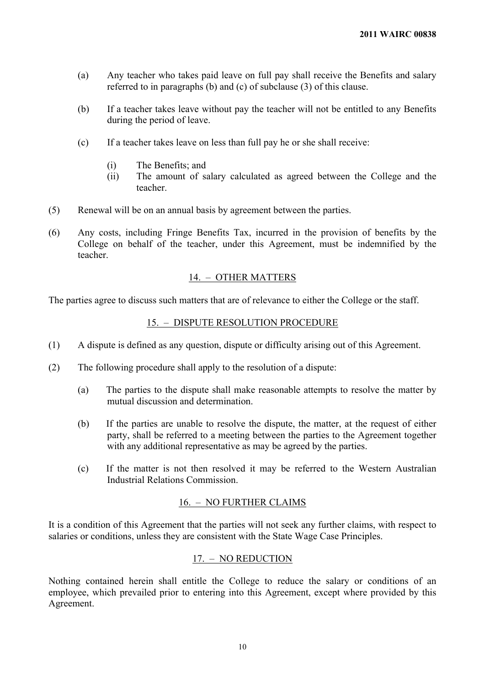- (a) Any teacher who takes paid leave on full pay shall receive the Benefits and salary referred to in paragraphs (b) and (c) of subclause (3) of this clause.
- (b) If a teacher takes leave without pay the teacher will not be entitled to any Benefits during the period of leave.
- (c) If a teacher takes leave on less than full pay he or she shall receive:
	- (i) The Benefits; and
	- (ii) The amount of salary calculated as agreed between the College and the teacher.
- (5) Renewal will be on an annual basis by agreement between the parties.
- (6) Any costs, including Fringe Benefits Tax, incurred in the provision of benefits by the College on behalf of the teacher, under this Agreement, must be indemnified by the teacher.

# 14. – OTHER MATTERS

The parties agree to discuss such matters that are of relevance to either the College or the staff.

# 15. – DISPUTE RESOLUTION PROCEDURE

- (1) A dispute is defined as any question, dispute or difficulty arising out of this Agreement.
- (2) The following procedure shall apply to the resolution of a dispute:
	- (a) The parties to the dispute shall make reasonable attempts to resolve the matter by mutual discussion and determination.
	- (b) If the parties are unable to resolve the dispute, the matter, at the request of either party, shall be referred to a meeting between the parties to the Agreement together with any additional representative as may be agreed by the parties.
	- (c) If the matter is not then resolved it may be referred to the Western Australian Industrial Relations Commission.

#### 16. – NO FURTHER CLAIMS

It is a condition of this Agreement that the parties will not seek any further claims, with respect to salaries or conditions, unless they are consistent with the State Wage Case Principles.

# 17. – NO REDUCTION

Nothing contained herein shall entitle the College to reduce the salary or conditions of an employee, which prevailed prior to entering into this Agreement, except where provided by this Agreement.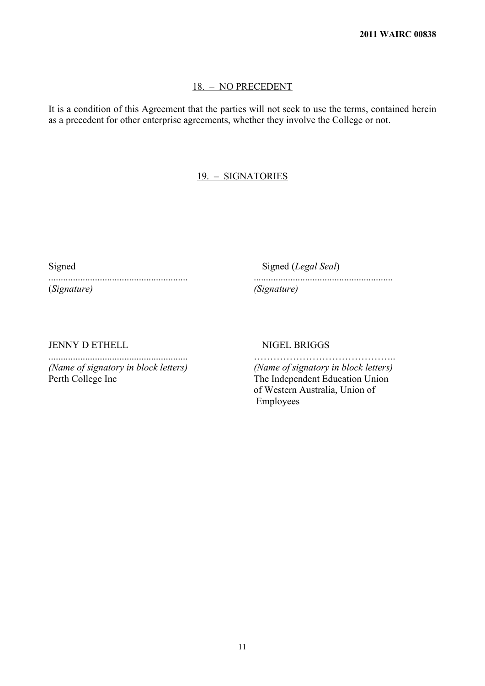### 18. – NO PRECEDENT

It is a condition of this Agreement that the parties will not seek to use the terms, contained herein as a precedent for other enterprise agreements, whether they involve the College or not.

# 19. – SIGNATORIES

(*Signature) (Signature)*

Signed Signed (*Legal Seal*) ......................................................... .........................................................

JENNY D ETHELL NIGEL BRIGGS

Perth College Inc The Independent Education Union

......................................................... …………………………………….. *(Name of signatory in block letters) (Name of signatory in block letters)* of Western Australia, Union of Employees